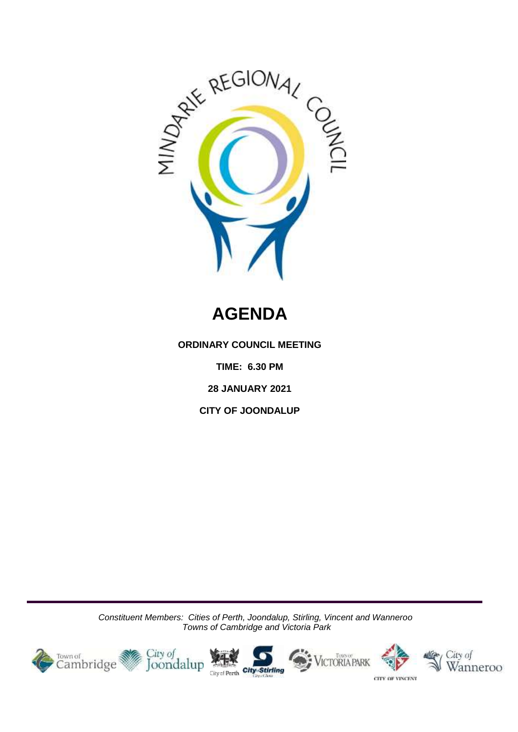

# **AGENDA**

**ORDINARY COUNCIL MEETING**

**TIME: 6.30 PM**

**28 JANUARY 2021**

**CITY OF JOONDALUP**

*Constituent Members: Cities of Perth, Joondalup, Stirling, Vincent and Wanneroo Towns of Cambridge and Victoria Park*

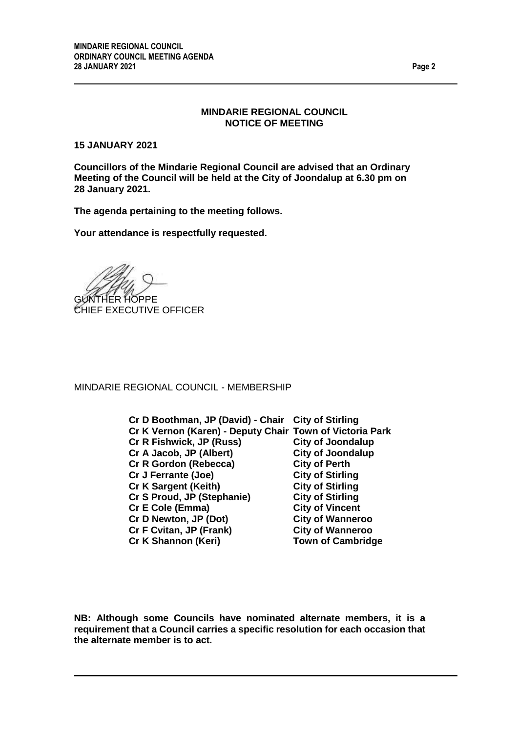#### **MINDARIE REGIONAL COUNCIL NOTICE OF MEETING**

#### **15 JANUARY 2021**

**Councillors of the Mindarie Regional Council are advised that an Ordinary Meeting of the Council will be held at the City of Joondalup at 6.30 pm on 28 January 2021.**

**The agenda pertaining to the meeting follows.**

**Your attendance is respectfully requested.**

GÜNTHER HOPPE CHIEF EXECUTIVE OFFICER

MINDARIE REGIONAL COUNCIL - MEMBERSHIP

**Cr D Boothman, JP (David) - Chair City of Stirling Cr K Vernon (Karen) - Deputy Chair Town of Victoria Park Cr R Fishwick, JP (Russ) City of Joondalup Cr A Jacob, JP (Albert) Cr R Gordon (Rebecca) City of Perth Cr J Ferrante (Joe) City of Stirling Cr K Sargent (Keith) City of Stirling Cr S Proud, JP (Stephanie) City of Stirling Cr E Cole (Emma) City of Vincent Cr D Newton, JP (Dot) City of Wanneroo Cr F Cvitan, JP (Frank) City of Wanneroo Cr K Shannon (Keri) Town of Cambridge**

**NB: Although some Councils have nominated alternate members, it is a requirement that a Council carries a specific resolution for each occasion that the alternate member is to act.**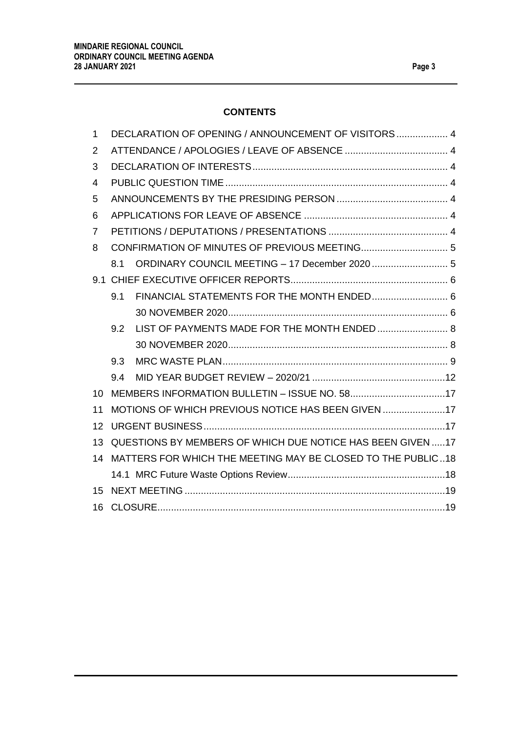## **CONTENTS**

| 1              | DECLARATION OF OPENING / ANNOUNCEMENT OF VISITORS 4 |                                                             |  |  |  |
|----------------|-----------------------------------------------------|-------------------------------------------------------------|--|--|--|
| 2              |                                                     |                                                             |  |  |  |
| 3              |                                                     |                                                             |  |  |  |
| 4              |                                                     |                                                             |  |  |  |
| 5              |                                                     |                                                             |  |  |  |
| 6              |                                                     |                                                             |  |  |  |
| $\overline{7}$ |                                                     |                                                             |  |  |  |
| 8              |                                                     |                                                             |  |  |  |
|                | 8.1                                                 |                                                             |  |  |  |
|                |                                                     |                                                             |  |  |  |
|                | 9.1                                                 | FINANCIAL STATEMENTS FOR THE MONTH ENDED 6                  |  |  |  |
|                |                                                     |                                                             |  |  |  |
|                | 9.2                                                 | LIST OF PAYMENTS MADE FOR THE MONTH ENDED  8                |  |  |  |
|                |                                                     |                                                             |  |  |  |
|                | 9.3                                                 |                                                             |  |  |  |
|                | 9.4                                                 |                                                             |  |  |  |
| 10             |                                                     |                                                             |  |  |  |
| 11             |                                                     | MOTIONS OF WHICH PREVIOUS NOTICE HAS BEEN GIVEN 17          |  |  |  |
| 12             |                                                     |                                                             |  |  |  |
| 13             |                                                     | QUESTIONS BY MEMBERS OF WHICH DUE NOTICE HAS BEEN GIVEN 17  |  |  |  |
| 14             |                                                     | MATTERS FOR WHICH THE MEETING MAY BE CLOSED TO THE PUBLIC18 |  |  |  |
|                |                                                     |                                                             |  |  |  |
| 15             |                                                     |                                                             |  |  |  |
| 16             |                                                     |                                                             |  |  |  |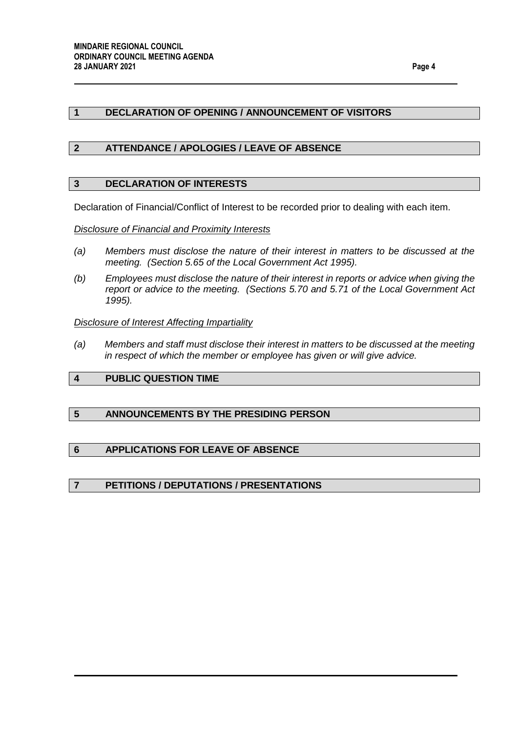## <span id="page-3-0"></span>**1 DECLARATION OF OPENING / ANNOUNCEMENT OF VISITORS**

#### <span id="page-3-1"></span>**2 ATTENDANCE / APOLOGIES / LEAVE OF ABSENCE**

#### <span id="page-3-2"></span>**3 DECLARATION OF INTERESTS**

Declaration of Financial/Conflict of Interest to be recorded prior to dealing with each item.

#### *Disclosure of Financial and Proximity Interests*

- *(a) Members must disclose the nature of their interest in matters to be discussed at the meeting. (Section 5.65 of the Local Government Act 1995).*
- *(b) Employees must disclose the nature of their interest in reports or advice when giving the report or advice to the meeting. (Sections 5.70 and 5.71 of the Local Government Act 1995).*

#### *Disclosure of Interest Affecting Impartiality*

*(a) Members and staff must disclose their interest in matters to be discussed at the meeting in respect of which the member or employee has given or will give advice.*

#### <span id="page-3-3"></span>**4 PUBLIC QUESTION TIME**

#### <span id="page-3-4"></span>**5 ANNOUNCEMENTS BY THE PRESIDING PERSON**

#### <span id="page-3-5"></span>**6 APPLICATIONS FOR LEAVE OF ABSENCE**

#### <span id="page-3-6"></span>**7 PETITIONS / DEPUTATIONS / PRESENTATIONS**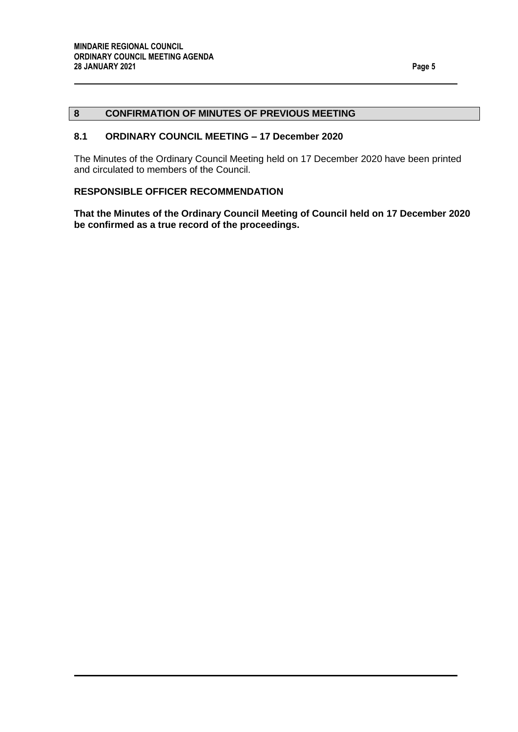#### <span id="page-4-0"></span>**8 CONFIRMATION OF MINUTES OF PREVIOUS MEETING**

#### <span id="page-4-1"></span>**8.1 ORDINARY COUNCIL MEETING – 17 December 2020**

The Minutes of the Ordinary Council Meeting held on 17 December 2020 have been printed and circulated to members of the Council.

#### **RESPONSIBLE OFFICER RECOMMENDATION**

**That the Minutes of the Ordinary Council Meeting of Council held on 17 December 2020 be confirmed as a true record of the proceedings.**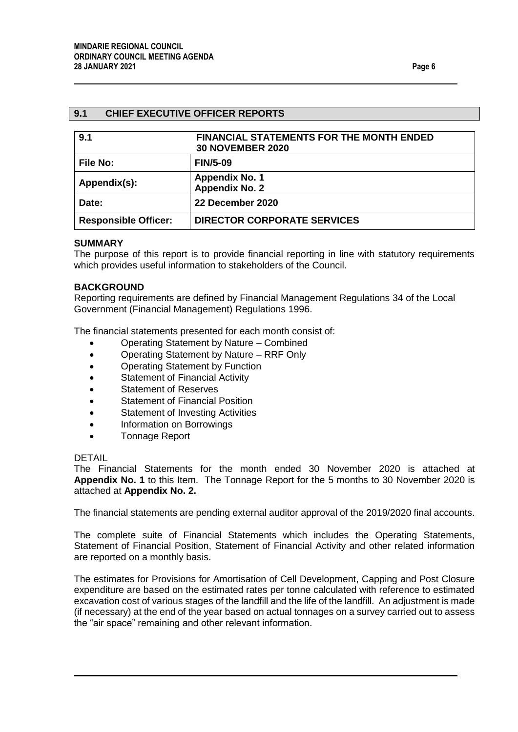#### <span id="page-5-0"></span>**9.1 CHIEF EXECUTIVE OFFICER REPORTS**

<span id="page-5-2"></span><span id="page-5-1"></span>

| 9.1                         | <b>FINANCIAL STATEMENTS FOR THE MONTH ENDED</b><br><b>30 NOVEMBER 2020</b> |  |
|-----------------------------|----------------------------------------------------------------------------|--|
| <b>File No:</b>             | <b>FIN/5-09</b>                                                            |  |
| Appendix(s):                | <b>Appendix No. 1</b><br><b>Appendix No. 2</b>                             |  |
| Date:                       | 22 December 2020                                                           |  |
| <b>Responsible Officer:</b> | <b>DIRECTOR CORPORATE SERVICES</b>                                         |  |

#### **SUMMARY**

The purpose of this report is to provide financial reporting in line with statutory requirements which provides useful information to stakeholders of the Council.

#### **BACKGROUND**

Reporting requirements are defined by Financial Management Regulations 34 of the Local Government (Financial Management) Regulations 1996.

The financial statements presented for each month consist of:

- Operating Statement by Nature Combined
- Operating Statement by Nature RRF Only
- Operating Statement by Function
- Statement of Financial Activity
- Statement of Reserves
- Statement of Financial Position
- Statement of Investing Activities
- Information on Borrowings
- Tonnage Report

#### DETAIL

The Financial Statements for the month ended 30 November 2020 is attached at **Appendix No. 1** to this Item. The Tonnage Report for the 5 months to 30 November 2020 is attached at **Appendix No. 2.**

The financial statements are pending external auditor approval of the 2019/2020 final accounts.

The complete suite of Financial Statements which includes the Operating Statements, Statement of Financial Position, Statement of Financial Activity and other related information are reported on a monthly basis.

The estimates for Provisions for Amortisation of Cell Development, Capping and Post Closure expenditure are based on the estimated rates per tonne calculated with reference to estimated excavation cost of various stages of the landfill and the life of the landfill. An adjustment is made (if necessary) at the end of the year based on actual tonnages on a survey carried out to assess the "air space" remaining and other relevant information.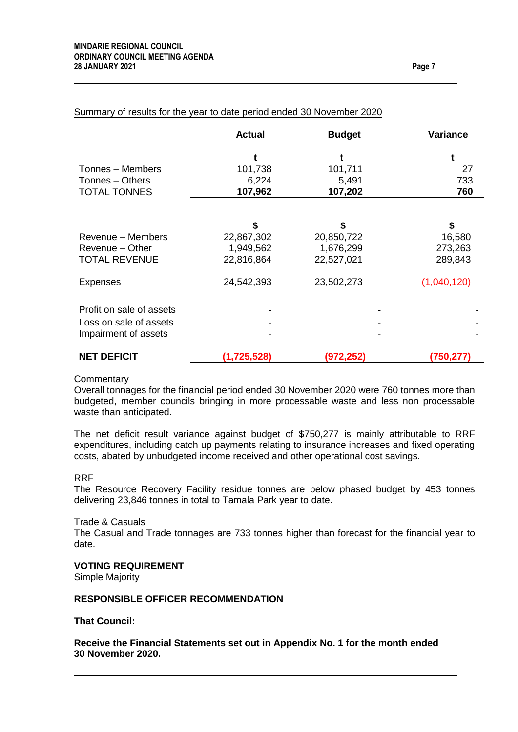|                          | <b>Actual</b> | <b>Budget</b> | <b>Variance</b> |
|--------------------------|---------------|---------------|-----------------|
|                          |               | t             |                 |
| Tonnes – Members         | 101,738       | 101,711       | 27              |
| Tonnes – Others          | 6,224         | 5,491         | 733             |
| <b>TOTAL TONNES</b>      | 107,962       | 107,202       | 760             |
|                          | \$            | \$            | \$              |
| Revenue – Members        | 22,867,302    | 20,850,722    | 16,580          |
| Revenue - Other          | 1,949,562     | 1,676,299     | 273,263         |
| <b>TOTAL REVENUE</b>     | 22,816,864    | 22,527,021    | 289,843         |
| <b>Expenses</b>          | 24,542,393    | 23,502,273    | (1,040,120)     |
| Profit on sale of assets |               |               |                 |
| Loss on sale of assets   |               |               |                 |
| Impairment of assets     |               |               |                 |
| <b>NET DEFICIT</b>       | (1,725,528)   | (972,252)     | (750, 277)      |

#### Summary of results for the year to date period ended 30 November 2020

#### **Commentary**

Overall tonnages for the financial period ended 30 November 2020 were 760 tonnes more than budgeted, member councils bringing in more processable waste and less non processable waste than anticipated.

The net deficit result variance against budget of \$750,277 is mainly attributable to RRF expenditures, including catch up payments relating to insurance increases and fixed operating costs, abated by unbudgeted income received and other operational cost savings.

#### RRF

The Resource Recovery Facility residue tonnes are below phased budget by 453 tonnes delivering 23,846 tonnes in total to Tamala Park year to date.

#### Trade & Casuals

The Casual and Trade tonnages are 733 tonnes higher than forecast for the financial year to date.

#### **VOTING REQUIREMENT**

Simple Majority

#### **RESPONSIBLE OFFICER RECOMMENDATION**

**That Council:**

**Receive the Financial Statements set out in Appendix No. 1 for the month ended 30 November 2020.**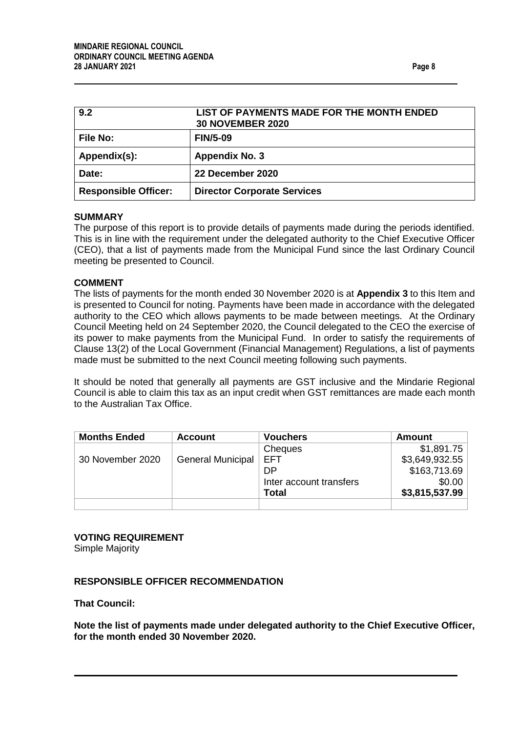<span id="page-7-1"></span><span id="page-7-0"></span>

| 9.2                         | LIST OF PAYMENTS MADE FOR THE MONTH ENDED<br><b>30 NOVEMBER 2020</b> |
|-----------------------------|----------------------------------------------------------------------|
| <b>File No:</b>             | <b>FIN/5-09</b>                                                      |
| Appendix(s):                | <b>Appendix No. 3</b>                                                |
| Date:                       | 22 December 2020                                                     |
| <b>Responsible Officer:</b> | <b>Director Corporate Services</b>                                   |

#### **SUMMARY**

The purpose of this report is to provide details of payments made during the periods identified. This is in line with the requirement under the delegated authority to the Chief Executive Officer (CEO), that a list of payments made from the Municipal Fund since the last Ordinary Council meeting be presented to Council.

#### **COMMENT**

The lists of payments for the month ended 30 November 2020 is at **Appendix 3** to this Item and is presented to Council for noting. Payments have been made in accordance with the delegated authority to the CEO which allows payments to be made between meetings. At the Ordinary Council Meeting held on 24 September 2020, the Council delegated to the CEO the exercise of its power to make payments from the Municipal Fund. In order to satisfy the requirements of Clause 13(2) of the Local Government (Financial Management) Regulations, a list of payments made must be submitted to the next Council meeting following such payments.

It should be noted that generally all payments are GST inclusive and the Mindarie Regional Council is able to claim this tax as an input credit when GST remittances are made each month to the Australian Tax Office.

| <b>Months Ended</b> | <b>Account</b>           | <b>Vouchers</b>         | Amount         |
|---------------------|--------------------------|-------------------------|----------------|
|                     |                          | Cheques                 | \$1,891.75     |
| 30 November 2020    | <b>General Municipal</b> | EFT.                    | \$3,649,932.55 |
|                     |                          | DP                      | \$163,713.69   |
|                     |                          | Inter account transfers | \$0.00         |
|                     |                          | <b>Total</b>            | \$3,815,537.99 |
|                     |                          |                         |                |

## **VOTING REQUIREMENT**

Simple Majority

#### **RESPONSIBLE OFFICER RECOMMENDATION**

**That Council:**

**Note the list of payments made under delegated authority to the Chief Executive Officer, for the month ended 30 November 2020.**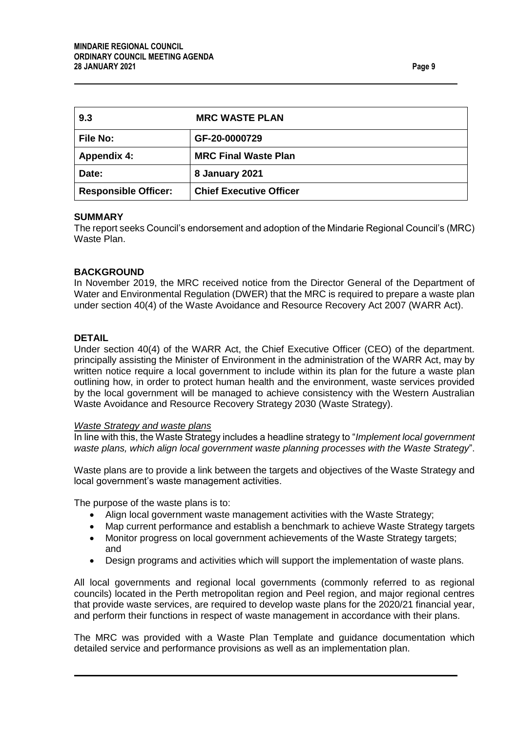<span id="page-8-0"></span>

| 9.3                         | <b>MRC WASTE PLAN</b>          |
|-----------------------------|--------------------------------|
| <b>File No:</b>             | GF-20-0000729                  |
| <b>Appendix 4:</b>          | <b>MRC Final Waste Plan</b>    |
| Date:                       | 8 January 2021                 |
| <b>Responsible Officer:</b> | <b>Chief Executive Officer</b> |

#### **SUMMARY**

The report seeks Council's endorsement and adoption of the Mindarie Regional Council's (MRC) Waste Plan.

#### **BACKGROUND**

In November 2019, the MRC received notice from the Director General of the Department of Water and Environmental Regulation (DWER) that the MRC is required to prepare a waste plan under section 40(4) of the Waste Avoidance and Resource Recovery Act 2007 (WARR Act).

#### **DETAIL**

Under section 40(4) of the WARR Act, the Chief Executive Officer (CEO) of the department. principally assisting the Minister of Environment in the administration of the WARR Act, may by written notice require a local government to include within its plan for the future a waste plan outlining how, in order to protect human health and the environment, waste services provided by the local government will be managed to achieve consistency with the Western Australian Waste Avoidance and Resource Recovery Strategy 2030 (Waste Strategy).

#### *Waste Strategy and waste plans*

In line with this, the Waste Strategy includes a headline strategy to "*Implement local government waste plans, which align local government waste planning processes with the Waste Strategy*".

Waste plans are to provide a link between the targets and objectives of the Waste Strategy and local government's waste management activities.

The purpose of the waste plans is to:

- Align local government waste management activities with the Waste Strategy;
- Map current performance and establish a benchmark to achieve Waste Strategy targets
- Monitor progress on local government achievements of the Waste Strategy targets; and
- Design programs and activities which will support the implementation of waste plans.

All local governments and regional local governments (commonly referred to as regional councils) located in the Perth metropolitan region and Peel region, and major regional centres that provide waste services, are required to develop waste plans for the 2020/21 financial year, and perform their functions in respect of waste management in accordance with their plans.

The MRC was provided with a Waste Plan Template and guidance documentation which detailed service and performance provisions as well as an implementation plan.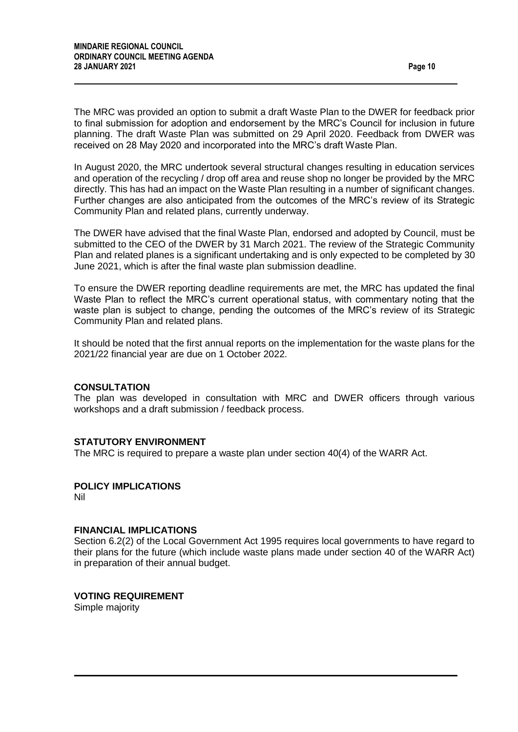The MRC was provided an option to submit a draft Waste Plan to the DWER for feedback prior to final submission for adoption and endorsement by the MRC's Council for inclusion in future planning. The draft Waste Plan was submitted on 29 April 2020. Feedback from DWER was received on 28 May 2020 and incorporated into the MRC's draft Waste Plan.

In August 2020, the MRC undertook several structural changes resulting in education services and operation of the recycling / drop off area and reuse shop no longer be provided by the MRC directly. This has had an impact on the Waste Plan resulting in a number of significant changes. Further changes are also anticipated from the outcomes of the MRC's review of its Strategic Community Plan and related plans, currently underway.

The DWER have advised that the final Waste Plan, endorsed and adopted by Council, must be submitted to the CEO of the DWER by 31 March 2021. The review of the Strategic Community Plan and related planes is a significant undertaking and is only expected to be completed by 30 June 2021, which is after the final waste plan submission deadline.

To ensure the DWER reporting deadline requirements are met, the MRC has updated the final Waste Plan to reflect the MRC's current operational status, with commentary noting that the waste plan is subject to change, pending the outcomes of the MRC's review of its Strategic Community Plan and related plans.

It should be noted that the first annual reports on the implementation for the waste plans for the 2021/22 financial year are due on 1 October 2022.

#### **CONSULTATION**

The plan was developed in consultation with MRC and DWER officers through various workshops and a draft submission / feedback process.

#### **STATUTORY ENVIRONMENT**

The MRC is required to prepare a waste plan under section 40(4) of the WARR Act.

## **POLICY IMPLICATIONS**

Nil

#### **FINANCIAL IMPLICATIONS**

Section 6.2(2) of the Local Government Act 1995 requires local governments to have regard to their plans for the future (which include waste plans made under section 40 of the WARR Act) in preparation of their annual budget.

**VOTING REQUIREMENT** Simple majority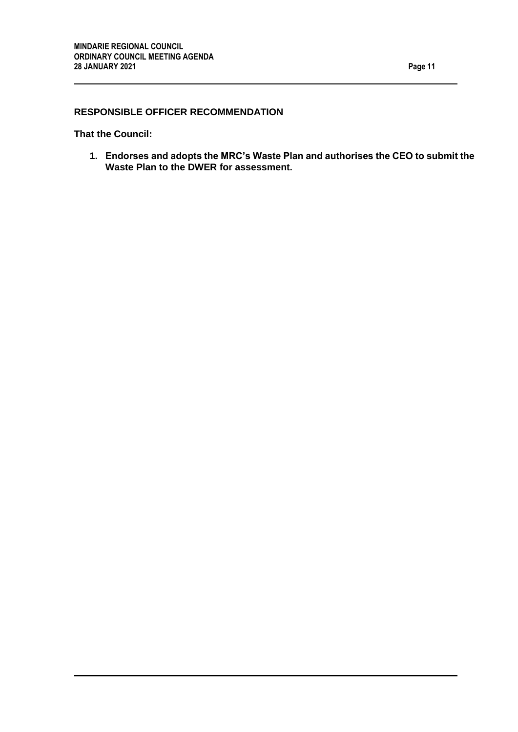## **RESPONSIBLE OFFICER RECOMMENDATION**

**That the Council:**

**1. Endorses and adopts the MRC's Waste Plan and authorises the CEO to submit the Waste Plan to the DWER for assessment.**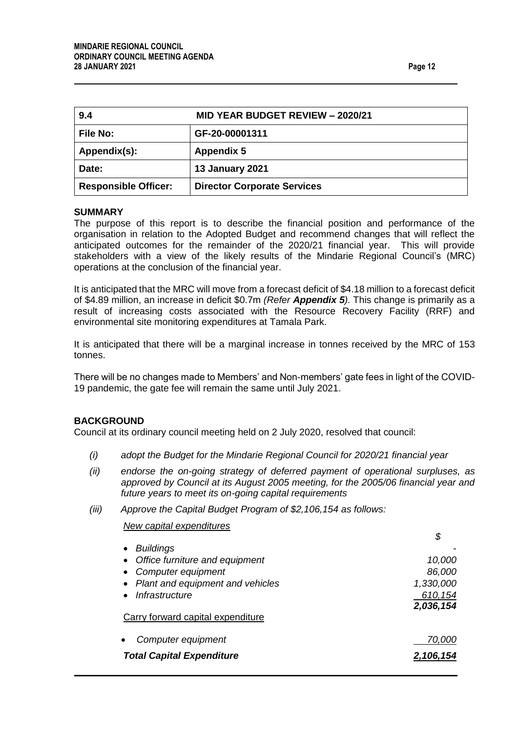<span id="page-11-0"></span>

| 9.4                         | MID YEAR BUDGET REVIEW - 2020/21   |
|-----------------------------|------------------------------------|
| <b>File No:</b>             | GF-20-00001311                     |
| Appendix(s):                | <b>Appendix 5</b>                  |
| Date:                       | <b>13 January 2021</b>             |
| <b>Responsible Officer:</b> | <b>Director Corporate Services</b> |

#### **SUMMARY**

The purpose of this report is to describe the financial position and performance of the organisation in relation to the Adopted Budget and recommend changes that will reflect the anticipated outcomes for the remainder of the 2020/21 financial year. This will provide stakeholders with a view of the likely results of the Mindarie Regional Council's (MRC) operations at the conclusion of the financial year.

It is anticipated that the MRC will move from a forecast deficit of \$4.18 million to a forecast deficit of \$4.89 million, an increase in deficit \$0.7m *(Refer Appendix 5).* This change is primarily as a result of increasing costs associated with the Resource Recovery Facility (RRF) and environmental site monitoring expenditures at Tamala Park.

It is anticipated that there will be a marginal increase in tonnes received by the MRC of 153 tonnes.

There will be no changes made to Members' and Non-members' gate fees in light of the COVID-19 pandemic, the gate fee will remain the same until July 2021.

#### **BACKGROUND**

Council at its ordinary council meeting held on 2 July 2020, resolved that council:

- *(i) adopt the Budget for the Mindarie Regional Council for 2020/21 financial year*
- *(ii) endorse the on-going strategy of deferred payment of operational surpluses, as approved by Council at its August 2005 meeting, for the 2005/06 financial year and future years to meet its on-going capital requirements*
- *(iii) Approve the Capital Budget Program of \$2,106,154 as follows:*

*New capital expenditures*

| \$        |
|-----------|
|           |
| 10,000    |
| 86,000    |
| 1,330,000 |
| 610,154   |
| 2,036,154 |
|           |
| 70,000    |
| 2,106,154 |
|           |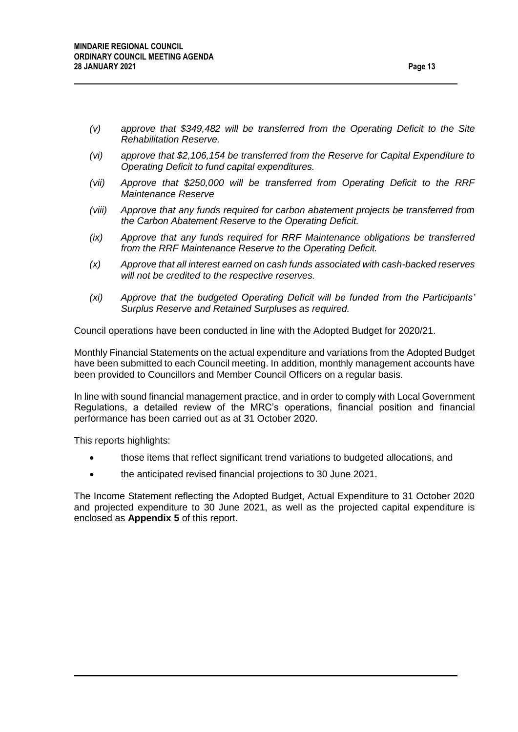- *(v) approve that \$349,482 will be transferred from the Operating Deficit to the Site Rehabilitation Reserve.*
- *(vi) approve that \$2,106,154 be transferred from the Reserve for Capital Expenditure to Operating Deficit to fund capital expenditures.*
- *(vii) Approve that \$250,000 will be transferred from Operating Deficit to the RRF Maintenance Reserve*
- *(viii) Approve that any funds required for carbon abatement projects be transferred from the Carbon Abatement Reserve to the Operating Deficit.*
- *(ix) Approve that any funds required for RRF Maintenance obligations be transferred from the RRF Maintenance Reserve to the Operating Deficit.*
- *(x) Approve that all interest earned on cash funds associated with cash-backed reserves will not be credited to the respective reserves.*
- *(xi) Approve that the budgeted Operating Deficit will be funded from the Participants' Surplus Reserve and Retained Surpluses as required.*

Council operations have been conducted in line with the Adopted Budget for 2020/21.

Monthly Financial Statements on the actual expenditure and variations from the Adopted Budget have been submitted to each Council meeting. In addition, monthly management accounts have been provided to Councillors and Member Council Officers on a regular basis.

In line with sound financial management practice, and in order to comply with Local Government Regulations, a detailed review of the MRC's operations, financial position and financial performance has been carried out as at 31 October 2020.

This reports highlights:

- those items that reflect significant trend variations to budgeted allocations, and
- the anticipated revised financial projections to 30 June 2021.

The Income Statement reflecting the Adopted Budget, Actual Expenditure to 31 October 2020 and projected expenditure to 30 June 2021, as well as the projected capital expenditure is enclosed as **Appendix 5** of this report.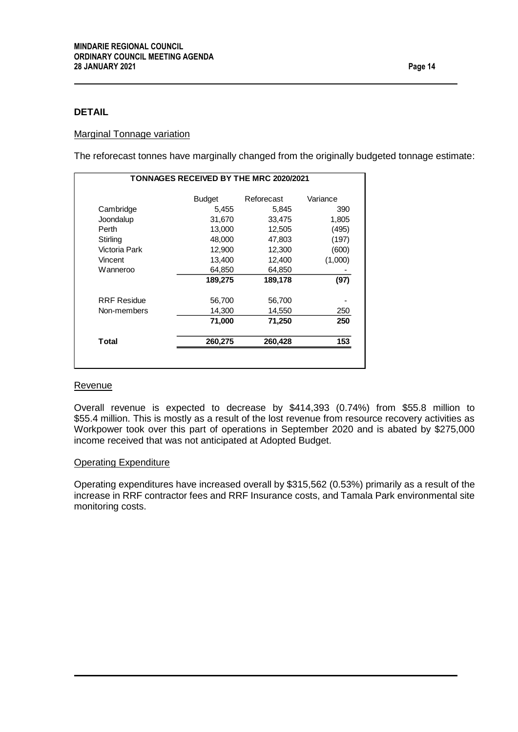#### **DETAIL**

#### Marginal Tonnage variation

The reforecast tonnes have marginally changed from the originally budgeted tonnage estimate:

|                    | <b>Budget</b> | Reforecast | Variance |
|--------------------|---------------|------------|----------|
| Cambridge          | 5,455         | 5,845      | 390      |
| Joondalup          | 31,670        | 33,475     | 1,805    |
| Perth              | 13,000        | 12,505     | (495)    |
| Stirling           | 48,000        | 47,803     | (197)    |
| Victoria Park      | 12,900        | 12,300     | (600)    |
| Vincent            | 13,400        | 12,400     | (1,000)  |
| Wanneroo           | 64,850        | 64,850     |          |
|                    | 189,275       | 189,178    | (97)     |
| <b>RRF Residue</b> | 56,700        | 56,700     |          |
| Non-members        | 14,300        | 14,550     | 250      |
|                    | 71,000        | 71,250     | 250      |
| Total              | 260,275       | 260,428    | 153      |

#### **Revenue**

Overall revenue is expected to decrease by \$414,393 (0.74%) from \$55.8 million to \$55.4 million. This is mostly as a result of the lost revenue from resource recovery activities as Workpower took over this part of operations in September 2020 and is abated by \$275,000 income received that was not anticipated at Adopted Budget.

#### Operating Expenditure

Operating expenditures have increased overall by \$315,562 (0.53%) primarily as a result of the increase in RRF contractor fees and RRF Insurance costs, and Tamala Park environmental site monitoring costs.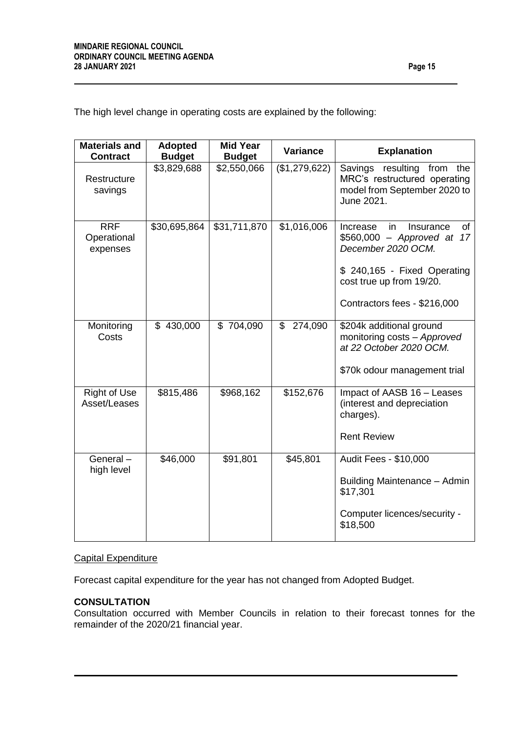| <b>Materials and</b><br><b>Contract</b> | <b>Adopted</b><br><b>Budget</b> | <b>Mid Year</b><br><b>Budget</b> | <b>Variance</b>           | <b>Explanation</b>                                                                                                                                                                |
|-----------------------------------------|---------------------------------|----------------------------------|---------------------------|-----------------------------------------------------------------------------------------------------------------------------------------------------------------------------------|
| Restructure<br>savings                  | \$3,829,688                     | \$2,550,066                      | (\$1,279,622)             | Savings<br>resulting<br>from<br>the<br>MRC's restructured operating<br>model from September 2020 to<br>June 2021.                                                                 |
| <b>RRF</b><br>Operational<br>expenses   | \$30,695,864                    | \$31,711,870                     | \$1,016,006               | Insurance<br>Increase<br>in<br>of<br>\$560,000 - Approved at 17<br>December 2020 OCM.<br>\$ 240,165 - Fixed Operating<br>cost true up from 19/20.<br>Contractors fees - \$216,000 |
| Monitoring<br>Costs                     | \$430,000                       | \$704,090                        | $\mathfrak{S}$<br>274,090 | \$204k additional ground<br>monitoring costs - Approved<br>at 22 October 2020 OCM.<br>\$70k odour management trial                                                                |
| <b>Right of Use</b><br>Asset/Leases     | \$815,486                       | \$968,162                        | \$152,676                 | Impact of AASB 16 - Leases<br>(interest and depreciation<br>charges).<br><b>Rent Review</b>                                                                                       |
| General-<br>high level                  | \$46,000                        | \$91,801                         | \$45,801                  | Audit Fees - \$10,000<br>Building Maintenance - Admin<br>\$17,301<br>Computer licences/security -<br>\$18,500                                                                     |

The high level change in operating costs are explained by the following:

#### **Capital Expenditure**

Forecast capital expenditure for the year has not changed from Adopted Budget.

#### **CONSULTATION**

Consultation occurred with Member Councils in relation to their forecast tonnes for the remainder of the 2020/21 financial year.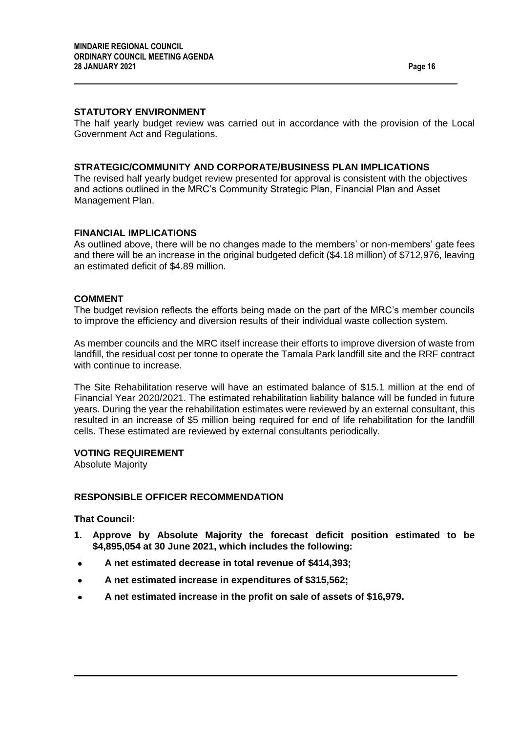#### **STATUTORY ENVIRONMENT**

The half yearly budget review was carried out in accordance with the provision of the Local Government Act and Regulations.

#### **STRATEGIC/COMMUNITY AND CORPORATE/BUSINESS PLAN IMPLICATIONS**

The revised half yearly budget review presented for approval is consistent with the objectives and actions outlined in the MRC's Community Strategic Plan, Financial Plan and Asset Management Plan.

#### **FINANCIAL IMPLICATIONS**

As outlined above, there will be no changes made to the members' or non-members' gate fees and there will be an increase in the original budgeted deficit (\$4.18 million) of \$712,976, leaving an estimated deficit of \$4.89 million.

#### **COMMENT**

The budget revision reflects the efforts being made on the part of the MRC's member councils to improve the efficiency and diversion results of their individual waste collection system.

As member councils and the MRC itself increase their efforts to improve diversion of waste from landfill, the residual cost per tonne to operate the Tamala Park landfill site and the RRF contract with continue to increase.

The Site Rehabilitation reserve will have an estimated balance of \$15.1 million at the end of Financial Year 2020/2021. The estimated rehabilitation liability balance will be funded in future years. During the year the rehabilitation estimates were reviewed by an external consultant, this resulted in an increase of \$5 million being required for end of life rehabilitation for the landfill cells. These estimated are reviewed by external consultants periodically.

#### **VOTING REQUIREMENT**

Absolute Majority

#### **RESPONSIBLE OFFICER RECOMMENDATION**

**That Council:**

- **1. Approve by Absolute Majority the forecast deficit position estimated to be \$4,895,054 at 30 June 2021, which includes the following:**
- **A net estimated decrease in total revenue of \$414,393;**
- **A net estimated increase in expenditures of \$315,562;**
- **A net estimated increase in the profit on sale of assets of \$16,979.**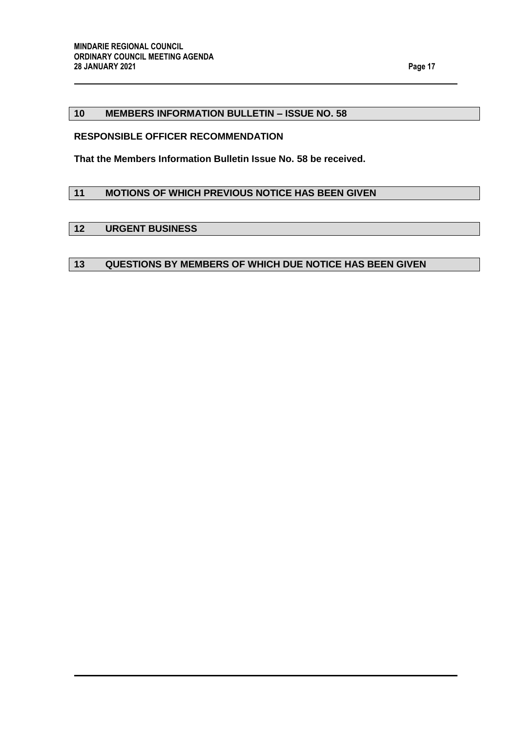#### <span id="page-16-0"></span>**10 MEMBERS INFORMATION BULLETIN – ISSUE NO. 58**

#### **RESPONSIBLE OFFICER RECOMMENDATION**

**That the Members Information Bulletin Issue No. 58 be received.**

#### <span id="page-16-1"></span>**11 MOTIONS OF WHICH PREVIOUS NOTICE HAS BEEN GIVEN**

#### <span id="page-16-2"></span>**12 URGENT BUSINESS**

## <span id="page-16-3"></span>**13 QUESTIONS BY MEMBERS OF WHICH DUE NOTICE HAS BEEN GIVEN**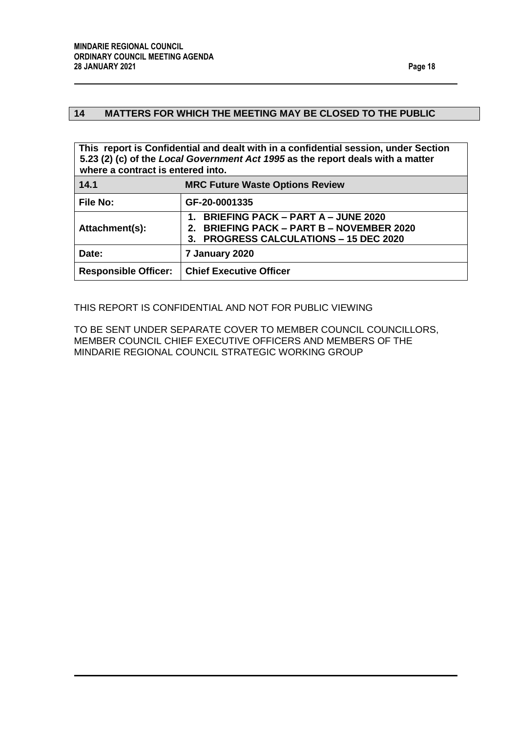## <span id="page-17-0"></span>**14 MATTERS FOR WHICH THE MEETING MAY BE CLOSED TO THE PUBLIC**

<span id="page-17-1"></span>

| This report is Confidential and dealt with in a confidential session, under Section<br>5.23 (2) (c) of the Local Government Act 1995 as the report deals with a matter<br>where a contract is entered into. |                                                                                                                                                           |  |  |
|-------------------------------------------------------------------------------------------------------------------------------------------------------------------------------------------------------------|-----------------------------------------------------------------------------------------------------------------------------------------------------------|--|--|
| 14.1<br><b>MRC Future Waste Options Review</b>                                                                                                                                                              |                                                                                                                                                           |  |  |
| <b>File No:</b>                                                                                                                                                                                             | GF-20-0001335                                                                                                                                             |  |  |
| Attachment(s):                                                                                                                                                                                              | <b>BRIEFING PACK - PART A - JUNE 2020</b><br>$\mathbf 1$<br>2. BRIEFING PACK - PART B - NOVEMBER 2020<br><b>PROGRESS CALCULATIONS - 15 DEC 2020</b><br>3. |  |  |
| Date:                                                                                                                                                                                                       | 7 January 2020                                                                                                                                            |  |  |
| <b>Responsible Officer:</b>                                                                                                                                                                                 | <b>Chief Executive Officer</b>                                                                                                                            |  |  |

THIS REPORT IS CONFIDENTIAL AND NOT FOR PUBLIC VIEWING

TO BE SENT UNDER SEPARATE COVER TO MEMBER COUNCIL COUNCILLORS, MEMBER COUNCIL CHIEF EXECUTIVE OFFICERS AND MEMBERS OF THE MINDARIE REGIONAL COUNCIL STRATEGIC WORKING GROUP